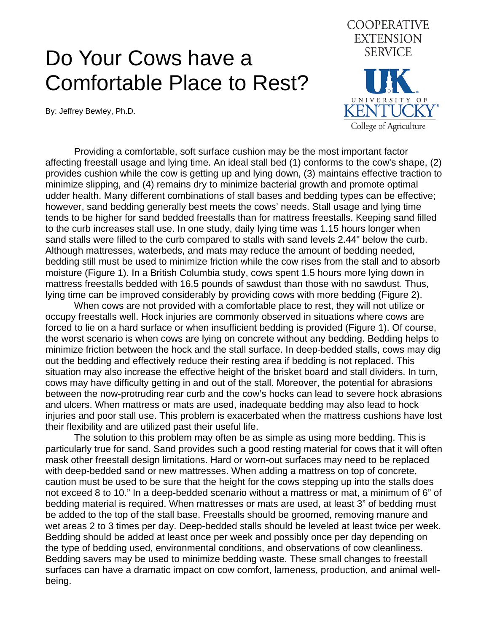## Do Your Cows have a Comfortable Place to Rest?

By: Jeffrey Bewley, Ph.D.



 Providing a comfortable, soft surface cushion may be the most important factor affecting freestall usage and lying time. An ideal stall bed (1) conforms to the cow's shape, (2) provides cushion while the cow is getting up and lying down, (3) maintains effective traction to minimize slipping, and (4) remains dry to minimize bacterial growth and promote optimal udder health. Many different combinations of stall bases and bedding types can be effective; however, sand bedding generally best meets the cows' needs. Stall usage and lying time tends to be higher for sand bedded freestalls than for mattress freestalls. Keeping sand filled to the curb increases stall use. In one study, daily lying time was 1.15 hours longer when sand stalls were filled to the curb compared to stalls with sand levels 2.44" below the curb. Although mattresses, waterbeds, and mats may reduce the amount of bedding needed, bedding still must be used to minimize friction while the cow rises from the stall and to absorb moisture (Figure 1). In a British Columbia study, cows spent 1.5 hours more lying down in mattress freestalls bedded with 16.5 pounds of sawdust than those with no sawdust. Thus, lying time can be improved considerably by providing cows with more bedding (Figure 2).

 When cows are not provided with a comfortable place to rest, they will not utilize or occupy freestalls well. Hock injuries are commonly observed in situations where cows are forced to lie on a hard surface or when insufficient bedding is provided (Figure 1). Of course, the worst scenario is when cows are lying on concrete without any bedding. Bedding helps to minimize friction between the hock and the stall surface. In deep-bedded stalls, cows may dig out the bedding and effectively reduce their resting area if bedding is not replaced. This situation may also increase the effective height of the brisket board and stall dividers. In turn, cows may have difficulty getting in and out of the stall. Moreover, the potential for abrasions between the now-protruding rear curb and the cow's hocks can lead to severe hock abrasions and ulcers. When mattress or mats are used, inadequate bedding may also lead to hock injuries and poor stall use. This problem is exacerbated when the mattress cushions have lost their flexibility and are utilized past their useful life.

 The solution to this problem may often be as simple as using more bedding. This is particularly true for sand. Sand provides such a good resting material for cows that it will often mask other freestall design limitations. Hard or worn-out surfaces may need to be replaced with deep-bedded sand or new mattresses. When adding a mattress on top of concrete, caution must be used to be sure that the height for the cows stepping up into the stalls does not exceed 8 to 10." In a deep-bedded scenario without a mattress or mat, a minimum of 6" of bedding material is required. When mattresses or mats are used, at least 3" of bedding must be added to the top of the stall base. Freestalls should be groomed, removing manure and wet areas 2 to 3 times per day. Deep-bedded stalls should be leveled at least twice per week. Bedding should be added at least once per week and possibly once per day depending on the type of bedding used, environmental conditions, and observations of cow cleanliness. Bedding savers may be used to minimize bedding waste. These small changes to freestall surfaces can have a dramatic impact on cow comfort, lameness, production, and animal wellbeing.